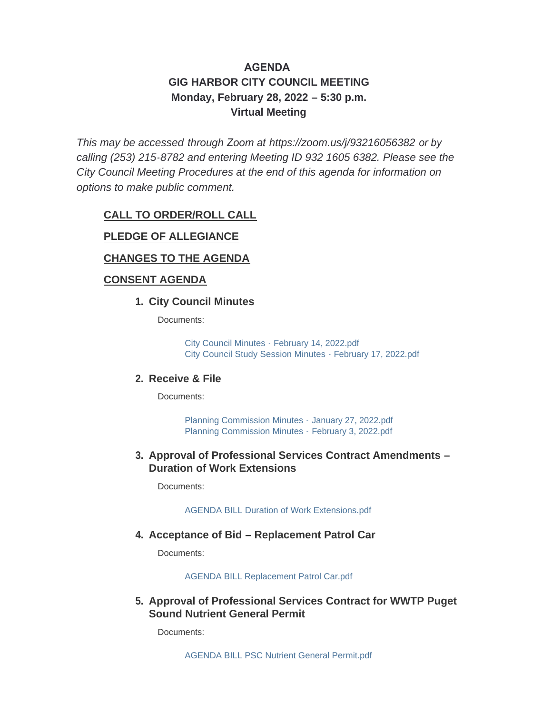# **AGENDA GIG HARBOR CITY COUNCIL MEETING Monday, February 28, 2022 – 5:30 p.m. Virtual Meeting**

*This may be accessed through Zoom at <https://zoom.us/j/93216056382> or by calling (253) 215-8782 and entering Meeting ID 932 1605 6382. Please see the City Council Meeting Procedures at the end of this agenda for information on options to make public comment.*

#### **CALL TO ORDER/ROLL CALL**

#### **PLEDGE OF ALLEGIANCE**

### **CHANGES TO THE AGENDA**

#### **CONSENT AGENDA**

#### **City Council Minutes 1.**

Documents:

[City Council Minutes - February 14, 2022.pdf](http://www.cityofgigharbor.net/AgendaCenter/ViewFile/Item/805?fileID=1797) [City Council Study Session Minutes - February 17, 2022.pdf](http://www.cityofgigharbor.net/AgendaCenter/ViewFile/Item/805?fileID=1798)

#### **Receive & File 2.**

Documents:

[Planning Commission Minutes -](http://www.cityofgigharbor.net/AgendaCenter/ViewFile/Item/807?fileID=1800) January 27, 2022.pdf [Planning Commission Minutes -](http://www.cityofgigharbor.net/AgendaCenter/ViewFile/Item/807?fileID=1799) February 3, 2022.pdf

#### **Approval of Professional Services Contract Amendments – 3. Duration of Work Extensions**

Documents:

[AGENDA BILL Duration of Work Extensions.pdf](http://www.cityofgigharbor.net/AgendaCenter/ViewFile/Item/801?fileID=1794)

#### **Acceptance of Bid – Replacement Patrol Car 4.**

Documents:

[AGENDA BILL Replacement Patrol Car.pdf](http://www.cityofgigharbor.net/AgendaCenter/ViewFile/Item/802?fileID=1795)

**Approval of Professional Services Contract for WWTP Puget 5. Sound Nutrient General Permit**

Documents: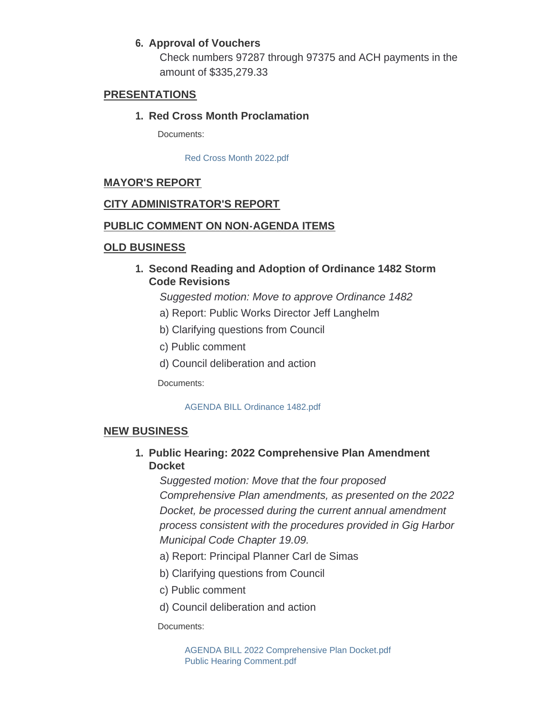## **Approval of Vouchers 6.**

Check numbers 97287 through 97375 and ACH payments in the amount of \$335,279.33

#### **PRESENTATIONS**

#### **Red Cross Month Proclamation 1.**

Documents:

[Red Cross Month 2022.pdf](http://www.cityofgigharbor.net/AgendaCenter/ViewFile/Item/804?fileID=1796)

## **MAYOR'S REPORT**

### **CITY ADMINISTRATOR'S REPORT**

### **PUBLIC COMMENT ON NON-AGENDA ITEMS**

### **OLD BUSINESS**

**Second Reading and Adoption of Ordinance 1482 Storm 1. Code Revisions**

*Suggested motion: Move to approve Ordinance 1482*

- a) Report: Public Works Director Jeff Langhelm
- b) Clarifying questions from Council
- c) Public comment
- d) Council deliberation and action

Documents:

#### [AGENDA BILL Ordinance 1482.pdf](http://www.cityofgigharbor.net/AgendaCenter/ViewFile/Item/808?fileID=1801)

#### **NEW BUSINESS**

## **Public Hearing: 2022 Comprehensive Plan Amendment 1. Docket**

*Suggested motion: Move that the four proposed Comprehensive Plan amendments, as presented on the 2022 Docket, be processed during the current annual amendment process consistent with the procedures provided in Gig Harbor Municipal Code Chapter 19.09.*

- a) Report: Principal Planner Carl de Simas
- b) Clarifying questions from Council
- c) Public comment
- d) Council deliberation and action

Documents: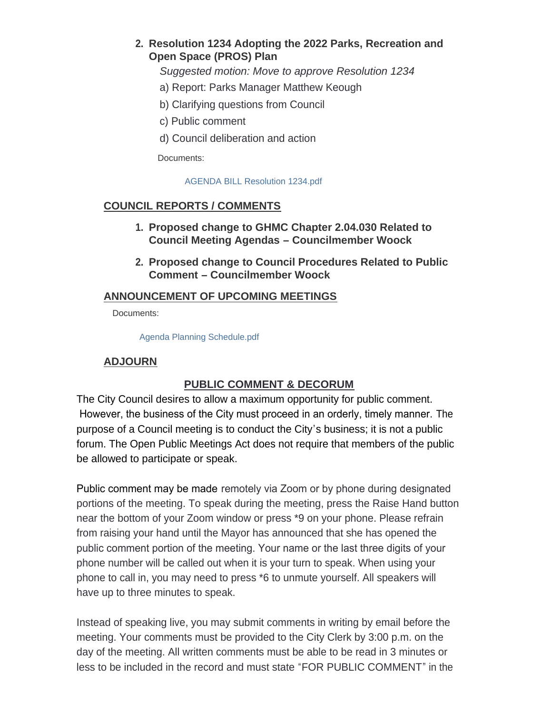## **Resolution 1234 Adopting the 2022 Parks, Recreation and 2. Open Space (PROS) Plan**

*Suggested motion: Move to approve Resolution 1234*

- a) Report: Parks Manager Matthew Keough
- b) Clarifying questions from Council
- c) Public comment
- d) Council deliberation and action

Documents:

[AGENDA BILL Resolution 1234.pdf](http://www.cityofgigharbor.net/AgendaCenter/ViewFile/Item/810?fileID=1803)

## **COUNCIL REPORTS / COMMENTS**

- **Proposed change to GHMC Chapter 2.04.030 Related to 1. Council Meeting Agendas – Councilmember Woock**
- **Proposed change to Council Procedures Related to Public 2. Comment – Councilmember Woock**

### **ANNOUNCEMENT OF UPCOMING MEETINGS**

Documents:

[Agenda Planning Schedule.pdf](http://www.cityofgigharbor.net/AgendaCenter/ViewFile/Item/798?fileID=1805)

## **ADJOURN**

## **PUBLIC COMMENT & DECORUM**

The City Council desires to allow a maximum opportunity for public comment. However, the business of the City must proceed in an orderly, timely manner. The purpose of a Council meeting is to conduct the City's business; it is not a public forum. The Open Public Meetings Act does not require that members of the public be allowed to participate or speak.

Public comment may be made remotely via Zoom or by phone during designated portions of the meeting. To speak during the meeting, press the Raise Hand button near the bottom of your Zoom window or press \*9 on your phone. Please refrain from raising your hand until the Mayor has announced that she has opened the public comment portion of the meeting. Your name or the last three digits of your phone number will be called out when it is your turn to speak. When using your phone to call in, you may need to press \*6 to unmute yourself. All speakers will have up to three minutes to speak.

Instead of speaking live, you may submit comments in writing by email before the meeting. Your comments must be provided to the City Clerk by 3:00 p.m. on the day of the meeting. All written comments must be able to be read in 3 minutes or less to be included in the record and must state "FOR PUBLIC COMMENT" in the